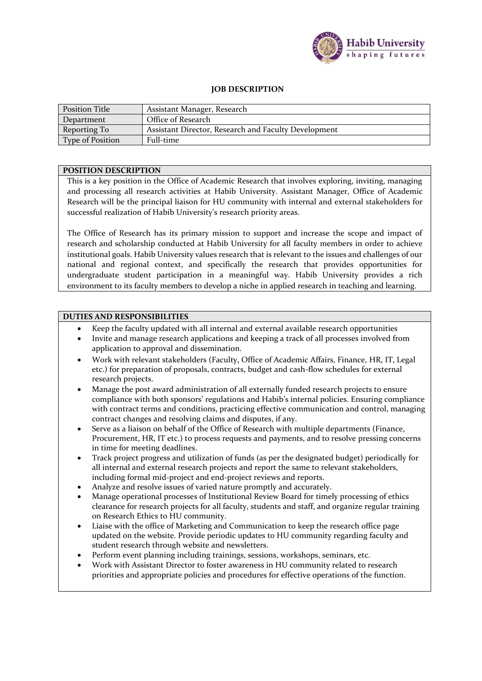

## **JOB DESCRIPTION**

| <b>Position Title</b> | Assistant Manager, Research                          |  |
|-----------------------|------------------------------------------------------|--|
| Department            | Office of Research                                   |  |
| Reporting To          | Assistant Director, Research and Faculty Development |  |
| Type of Position      | Full-time                                            |  |

## **POSITION DESCRIPTION**

This is a key position in the Office of Academic Research that involves exploring, inviting, managing and processing all research activities at Habib University. Assistant Manager, Office of Academic Research will be the principal liaison for HU community with internal and external stakeholders for successful realization of Habib University's research priority areas.

The Office of Research has its primary mission to support and increase the scope and impact of research and scholarship conducted at Habib University for all faculty members in order to achieve institutional goals. Habib University values research that is relevant to the issues and challenges of our national and regional context, and specifically the research that provides opportunities for undergraduate student participation in a meaningful way. Habib University provides a rich environment to its faculty members to develop a niche in applied research in teaching and learning.

## **DUTIES AND RESPONSIBILITIES**

- Keep the faculty updated with all internal and external available research opportunities
- Invite and manage research applications and keeping a track of all processes involved from application to approval and dissemination.
- Work with relevant stakeholders (Faculty, Office of Academic Affairs, Finance, HR, IT, Legal etc.) for preparation of proposals, contracts, budget and cash-flow schedules for external research projects.
- Manage the post award administration of all externally funded research projects to ensure compliance with both sponsors' regulations and Habib's internal policies. Ensuring compliance with contract terms and conditions, practicing effective communication and control, managing contract changes and resolving claims and disputes, if any.
- Serve as a liaison on behalf of the Office of Research with multiple departments (Finance, Procurement, HR, IT etc.) to process requests and payments, and to resolve pressing concerns in time for meeting deadlines.
- Track project progress and utilization of funds (as per the designated budget) periodically for all internal and external research projects and report the same to relevant stakeholders, including formal mid-project and end-project reviews and reports.
- Analyze and resolve issues of varied nature promptly and accurately.
- Manage operational processes of Institutional Review Board for timely processing of ethics clearance for research projects for all faculty, students and staff, and organize regular training on Research Ethics to HU community.
- Liaise with the office of Marketing and Communication to keep the research office page updated on the website. Provide periodic updates to HU community regarding faculty and student research through website and newsletters.
- Perform event planning including trainings, sessions, workshops, seminars, etc.
- Work with Assistant Director to foster awareness in HU community related to research priorities and appropriate policies and procedures for effective operations of the function.